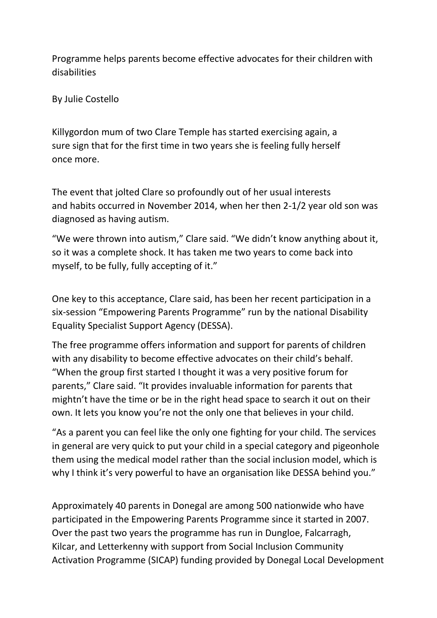Programme helps parents become effective advocates for their children with disabilities

By Julie Costello

Killygordon mum of two Clare Temple has started exercising again, a sure sign that for the first time in two years she is feeling fully herself once more.

The event that jolted Clare so profoundly out of her usual interests and habits occurred in November 2014, when her then 2-1/2 year old son was diagnosed as having autism.

"We were thrown into autism," Clare said. "We didn't know anything about it, so it was a complete shock. It has taken me two years to come back into myself, to be fully, fully accepting of it."

One key to this acceptance, Clare said, has been her recent participation in a six-session "Empowering Parents Programme" run by the national Disability Equality Specialist Support Agency (DESSA).

The free programme offers information and support for parents of children with any disability to become effective advocates on their child's behalf. "When the group first started I thought it was a very positive forum for parents," Clare said. "It provides invaluable information for parents that mightn't have the time or be in the right head space to search it out on their own. It lets you know you're not the only one that believes in your child.

"As a parent you can feel like the only one fighting for your child. The services in general are very quick to put your child in a special category and pigeonhole them using the medical model rather than the social inclusion model, which is why I think it's very powerful to have an organisation like DESSA behind you."

Approximately 40 parents in Donegal are among 500 nationwide who have participated in the Empowering Parents Programme since it started in 2007. Over the past two years the programme has run in Dungloe, Falcarragh, Kilcar, and Letterkenny with support from Social Inclusion Community Activation Programme (SICAP) funding provided by Donegal Local Development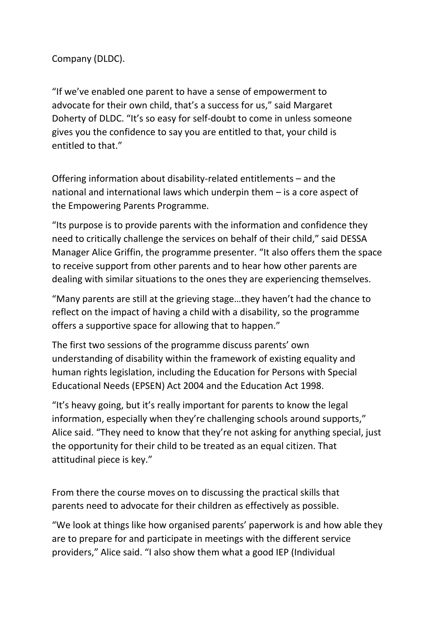Company (DLDC).

"If we've enabled one parent to have a sense of empowerment to advocate for their own child, that's a success for us," said Margaret Doherty of DLDC. "It's so easy for self-doubt to come in unless someone gives you the confidence to say you are entitled to that, your child is entitled to that."

Offering information about disability-related entitlements – and the national and international laws which underpin them – is a core aspect of the Empowering Parents Programme.

"Its purpose is to provide parents with the information and confidence they need to critically challenge the services on behalf of their child," said DESSA Manager Alice Griffin, the programme presenter. "It also offers them the space to receive support from other parents and to hear how other parents are dealing with similar situations to the ones they are experiencing themselves.

"Many parents are still at the grieving stage…they haven't had the chance to reflect on the impact of having a child with a disability, so the programme offers a supportive space for allowing that to happen."

The first two sessions of the programme discuss parents' own understanding of disability within the framework of existing equality and human rights legislation, including the Education for Persons with Special Educational Needs (EPSEN) Act 2004 and the Education Act 1998.

"It's heavy going, but it's really important for parents to know the legal information, especially when they're challenging schools around supports," Alice said. "They need to know that they're not asking for anything special, just the opportunity for their child to be treated as an equal citizen. That attitudinal piece is key."

From there the course moves on to discussing the practical skills that parents need to advocate for their children as effectively as possible.

"We look at things like how organised parents' paperwork is and how able they are to prepare for and participate in meetings with the different service providers," Alice said. "I also show them what a good IEP (Individual